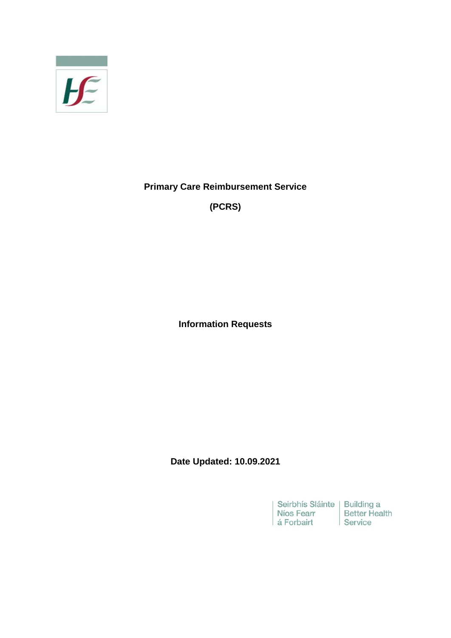

**Primary Care Reimbursement Service**

**(PCRS)**

**Information Requests**

**Date Updated: 10.09.2021**

Seirbhís Sláinte Building a<br>Níos Fearr Better Health<br>á Forbairt Service